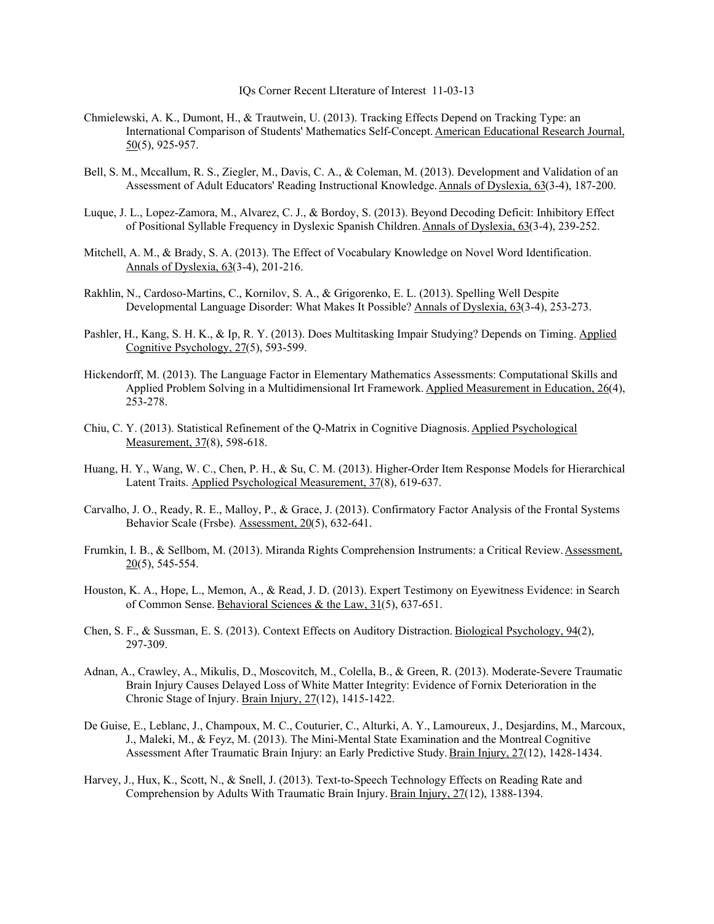IQs Corner Recent LIterature of Interest 11-03-13

- Chmielewski, A. K., Dumont, H., & Trautwein, U. (2013). Tracking Effects Depend on Tracking Type: an International Comparison of Students' Mathematics Self-Concept. American Educational Research Journal, 50(5), 925-957.
- Bell, S. M., Mccallum, R. S., Ziegler, M., Davis, C. A., & Coleman, M. (2013). Development and Validation of an Assessment of Adult Educators' Reading Instructional Knowledge. Annals of Dyslexia, 63(3-4), 187-200.
- Luque, J. L., Lopez-Zamora, M., Alvarez, C. J., & Bordoy, S. (2013). Beyond Decoding Deficit: Inhibitory Effect of Positional Syllable Frequency in Dyslexic Spanish Children. Annals of Dyslexia, 63(3-4), 239-252.
- Mitchell, A. M., & Brady, S. A. (2013). The Effect of Vocabulary Knowledge on Novel Word Identification. Annals of Dyslexia, 63(3-4), 201-216.
- Rakhlin, N., Cardoso-Martins, C., Kornilov, S. A., & Grigorenko, E. L. (2013). Spelling Well Despite Developmental Language Disorder: What Makes It Possible? Annals of Dyslexia, 63(3-4), 253-273.
- Pashler, H., Kang, S. H. K., & Ip, R. Y. (2013). Does Multitasking Impair Studying? Depends on Timing. Applied Cognitive Psychology, 27(5), 593-599.
- Hickendorff, M. (2013). The Language Factor in Elementary Mathematics Assessments: Computational Skills and Applied Problem Solving in a Multidimensional Irt Framework. Applied Measurement in Education, 26(4), 253-278.
- Chiu, C. Y. (2013). Statistical Refinement of the Q-Matrix in Cognitive Diagnosis. Applied Psychological Measurement, 37(8), 598-618.
- Huang, H. Y., Wang, W. C., Chen, P. H., & Su, C. M. (2013). Higher-Order Item Response Models for Hierarchical Latent Traits. Applied Psychological Measurement, 37(8), 619-637.
- Carvalho, J. O., Ready, R. E., Malloy, P., & Grace, J. (2013). Confirmatory Factor Analysis of the Frontal Systems Behavior Scale (Frsbe). Assessment, 20(5), 632-641.
- Frumkin, I. B., & Sellbom, M. (2013). Miranda Rights Comprehension Instruments: a Critical Review. Assessment,  $20(5)$ , 545-554.
- Houston, K. A., Hope, L., Memon, A., & Read, J. D. (2013). Expert Testimony on Eyewitness Evidence: in Search of Common Sense. Behavioral Sciences & the Law, 31(5), 637-651.
- Chen, S. F., & Sussman, E. S. (2013). Context Effects on Auditory Distraction. Biological Psychology, 94(2), 297-309.
- Adnan, A., Crawley, A., Mikulis, D., Moscovitch, M., Colella, B., & Green, R. (2013). Moderate-Severe Traumatic Brain Injury Causes Delayed Loss of White Matter Integrity: Evidence of Fornix Deterioration in the Chronic Stage of Injury. Brain Injury, 27(12), 1415-1422.
- De Guise, E., Leblanc, J., Champoux, M. C., Couturier, C., Alturki, A. Y., Lamoureux, J., Desjardins, M., Marcoux, J., Maleki, M., & Feyz, M. (2013). The Mini-Mental State Examination and the Montreal Cognitive Assessment After Traumatic Brain Injury: an Early Predictive Study. Brain Injury, 27(12), 1428-1434.
- Harvey, J., Hux, K., Scott, N., & Snell, J. (2013). Text-to-Speech Technology Effects on Reading Rate and Comprehension by Adults With Traumatic Brain Injury. Brain Injury, 27(12), 1388-1394.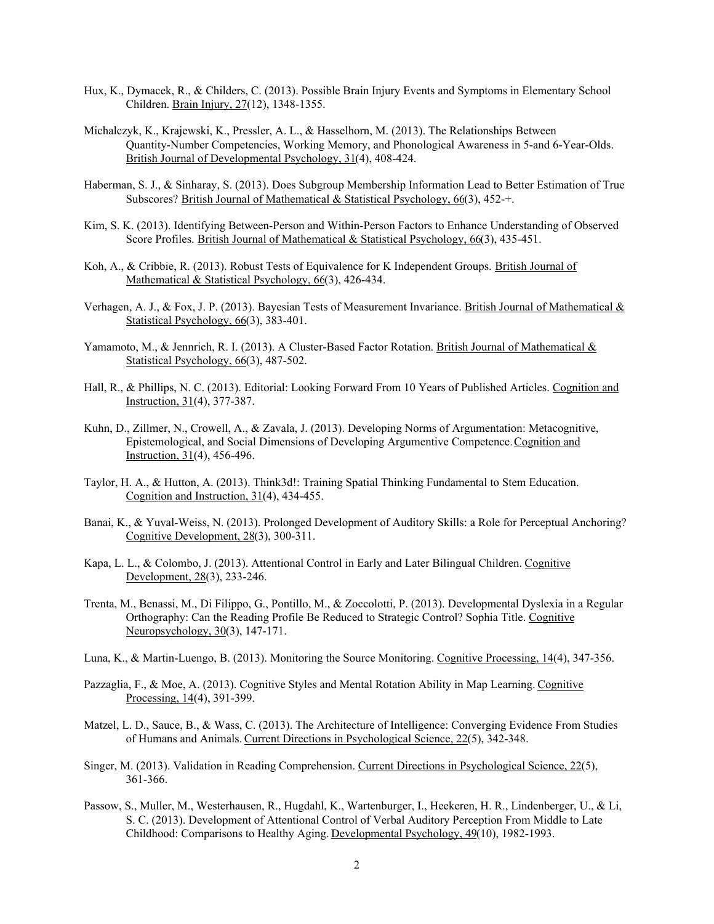- Hux, K., Dymacek, R., & Childers, C. (2013). Possible Brain Injury Events and Symptoms in Elementary School Children. Brain Injury, 27(12), 1348-1355.
- Michalczyk, K., Krajewski, K., Pressler, A. L., & Hasselhorn, M. (2013). The Relationships Between Quantity-Number Competencies, Working Memory, and Phonological Awareness in 5-and 6-Year-Olds. British Journal of Developmental Psychology, 31(4), 408-424.
- Haberman, S. J., & Sinharay, S. (2013). Does Subgroup Membership Information Lead to Better Estimation of True Subscores? British Journal of Mathematical & Statistical Psychology,  $66(3)$ , 452+.
- Kim, S. K. (2013). Identifying Between-Person and Within-Person Factors to Enhance Understanding of Observed Score Profiles. British Journal of Mathematical & Statistical Psychology, 66(3), 435-451.
- Koh, A., & Cribbie, R. (2013). Robust Tests of Equivalence for K Independent Groups. British Journal of Mathematical & Statistical Psychology, 66(3), 426-434.
- Verhagen, A. J., & Fox, J. P. (2013). Bayesian Tests of Measurement Invariance. British Journal of Mathematical & Statistical Psychology, 66(3), 383-401.
- Yamamoto, M., & Jennrich, R. I. (2013). A Cluster-Based Factor Rotation. British Journal of Mathematical & Statistical Psychology, 66(3), 487-502.
- Hall, R., & Phillips, N. C. (2013). Editorial: Looking Forward From 10 Years of Published Articles. Cognition and Instruction, 31(4), 377-387.
- Kuhn, D., Zillmer, N., Crowell, A., & Zavala, J. (2013). Developing Norms of Argumentation: Metacognitive, Epistemological, and Social Dimensions of Developing Argumentive Competence. Cognition and Instruction, 31(4), 456-496.
- Taylor, H. A., & Hutton, A. (2013). Think3d!: Training Spatial Thinking Fundamental to Stem Education. Cognition and Instruction, 31(4), 434-455.
- Banai, K., & Yuval-Weiss, N. (2013). Prolonged Development of Auditory Skills: a Role for Perceptual Anchoring? Cognitive Development, 28(3), 300-311.
- Kapa, L. L., & Colombo, J. (2013). Attentional Control in Early and Later Bilingual Children. Cognitive Development, 28(3), 233-246.
- Trenta, M., Benassi, M., Di Filippo, G., Pontillo, M., & Zoccolotti, P. (2013). Developmental Dyslexia in a Regular Orthography: Can the Reading Profile Be Reduced to Strategic Control? Sophia Title. Cognitive Neuropsychology, 30(3), 147-171.
- Luna, K., & Martin-Luengo, B. (2013). Monitoring the Source Monitoring. Cognitive Processing, 14(4), 347-356.
- Pazzaglia, F., & Moe, A. (2013). Cognitive Styles and Mental Rotation Ability in Map Learning. Cognitive Processing, 14(4), 391-399.
- Matzel, L. D., Sauce, B., & Wass, C. (2013). The Architecture of Intelligence: Converging Evidence From Studies of Humans and Animals. Current Directions in Psychological Science, 22(5), 342-348.
- Singer, M. (2013). Validation in Reading Comprehension. Current Directions in Psychological Science, 22(5), 361-366.
- Passow, S., Muller, M., Westerhausen, R., Hugdahl, K., Wartenburger, I., Heekeren, H. R., Lindenberger, U., & Li, S. C. (2013). Development of Attentional Control of Verbal Auditory Perception From Middle to Late Childhood: Comparisons to Healthy Aging. Developmental Psychology, 49(10), 1982-1993.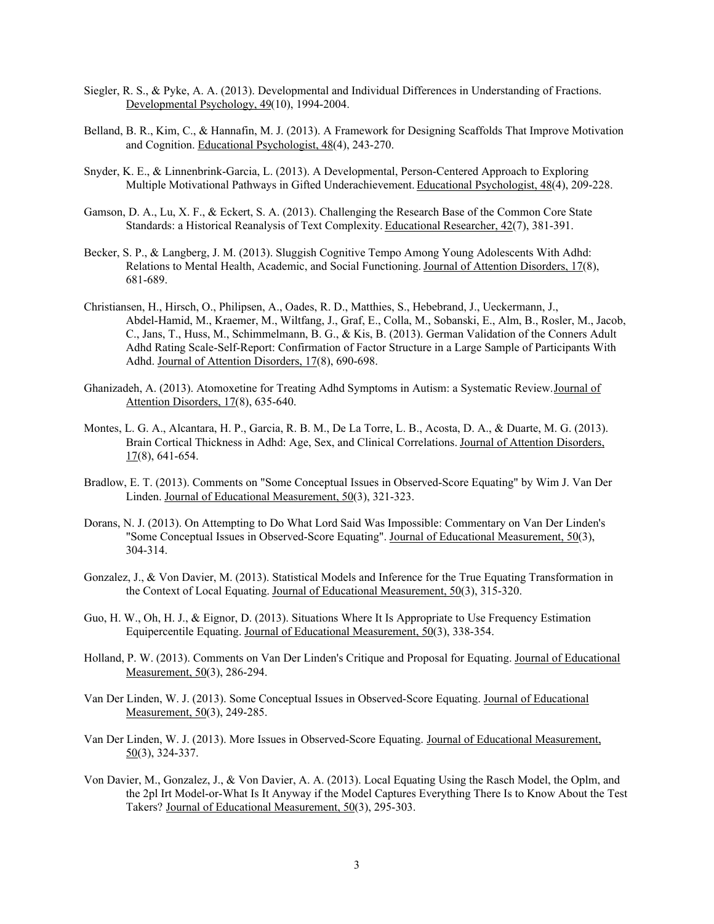- Siegler, R. S., & Pyke, A. A. (2013). Developmental and Individual Differences in Understanding of Fractions. Developmental Psychology, 49(10), 1994-2004.
- Belland, B. R., Kim, C., & Hannafin, M. J. (2013). A Framework for Designing Scaffolds That Improve Motivation and Cognition. Educational Psychologist, 48(4), 243-270.
- Snyder, K. E., & Linnenbrink-Garcia, L. (2013). A Developmental, Person-Centered Approach to Exploring Multiple Motivational Pathways in Gifted Underachievement. Educational Psychologist, 48(4), 209-228.
- Gamson, D. A., Lu, X. F., & Eckert, S. A. (2013). Challenging the Research Base of the Common Core State Standards: a Historical Reanalysis of Text Complexity. Educational Researcher, 42(7), 381-391.
- Becker, S. P., & Langberg, J. M. (2013). Sluggish Cognitive Tempo Among Young Adolescents With Adhd: Relations to Mental Health, Academic, and Social Functioning. Journal of Attention Disorders, 17(8), 681-689.
- Christiansen, H., Hirsch, O., Philipsen, A., Oades, R. D., Matthies, S., Hebebrand, J., Ueckermann, J., Abdel-Hamid, M., Kraemer, M., Wiltfang, J., Graf, E., Colla, M., Sobanski, E., Alm, B., Rosler, M., Jacob, C., Jans, T., Huss, M., Schimmelmann, B. G., & Kis, B. (2013). German Validation of the Conners Adult Adhd Rating Scale-Self-Report: Confirmation of Factor Structure in a Large Sample of Participants With Adhd. Journal of Attention Disorders, 17(8), 690-698.
- Ghanizadeh, A. (2013). Atomoxetine for Treating Adhd Symptoms in Autism: a Systematic Review. Journal of Attention Disorders, 17(8), 635-640.
- Montes, L. G. A., Alcantara, H. P., Garcia, R. B. M., De La Torre, L. B., Acosta, D. A., & Duarte, M. G. (2013). Brain Cortical Thickness in Adhd: Age, Sex, and Clinical Correlations. Journal of Attention Disorders,  $17(8)$ , 641-654.
- Bradlow, E. T. (2013). Comments on "Some Conceptual Issues in Observed-Score Equating" by Wim J. Van Der Linden. Journal of Educational Measurement, 50(3), 321-323.
- Dorans, N. J. (2013). On Attempting to Do What Lord Said Was Impossible: Commentary on Van Der Linden's "Some Conceptual Issues in Observed-Score Equating". Journal of Educational Measurement, 50(3), 304-314.
- Gonzalez, J., & Von Davier, M. (2013). Statistical Models and Inference for the True Equating Transformation in the Context of Local Equating. Journal of Educational Measurement, 50(3), 315-320.
- Guo, H. W., Oh, H. J., & Eignor, D. (2013). Situations Where It Is Appropriate to Use Frequency Estimation Equipercentile Equating. Journal of Educational Measurement, 50(3), 338-354.
- Holland, P. W. (2013). Comments on Van Der Linden's Critique and Proposal for Equating. Journal of Educational Measurement, 50(3), 286-294.
- Van Der Linden, W. J. (2013). Some Conceptual Issues in Observed-Score Equating. Journal of Educational Measurement, 50(3), 249-285.
- Van Der Linden, W. J. (2013). More Issues in Observed-Score Equating. Journal of Educational Measurement, 50(3), 324-337.
- Von Davier, M., Gonzalez, J., & Von Davier, A. A. (2013). Local Equating Using the Rasch Model, the Oplm, and the 2pl Irt Model-or-What Is It Anyway if the Model Captures Everything There Is to Know About the Test Takers? Journal of Educational Measurement, 50(3), 295-303.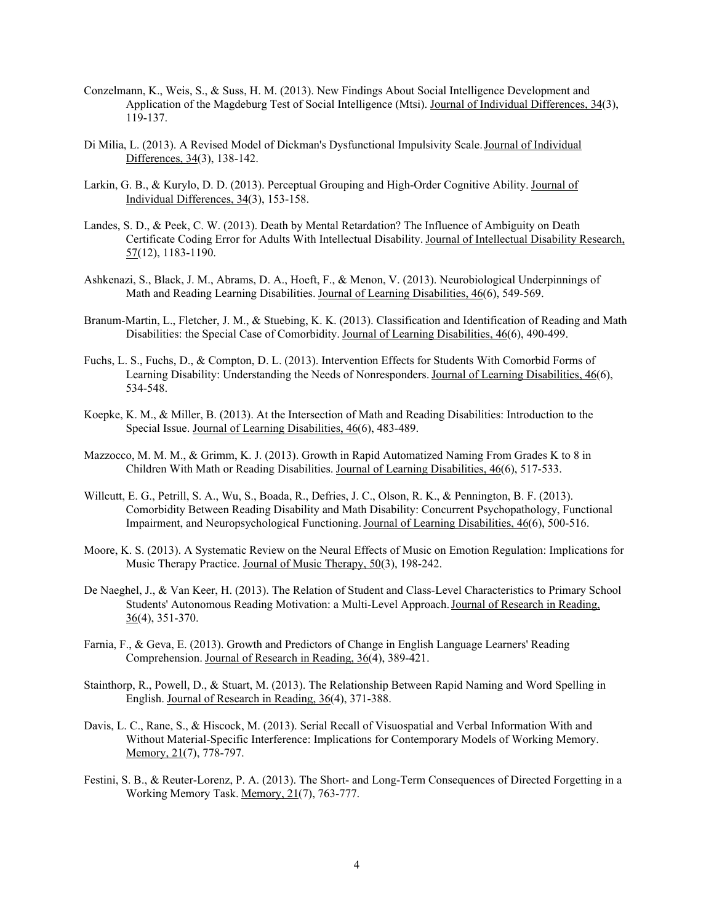- Conzelmann, K., Weis, S., & Suss, H. M. (2013). New Findings About Social Intelligence Development and Application of the Magdeburg Test of Social Intelligence (Mtsi). Journal of Individual Differences, 34(3), 119-137.
- Di Milia, L. (2013). A Revised Model of Dickman's Dysfunctional Impulsivity Scale. Journal of Individual Differences, 34(3), 138-142.
- Larkin, G. B., & Kurylo, D. D. (2013). Perceptual Grouping and High-Order Cognitive Ability. Journal of Individual Differences, 34(3), 153-158.
- Landes, S. D., & Peek, C. W. (2013). Death by Mental Retardation? The Influence of Ambiguity on Death Certificate Coding Error for Adults With Intellectual Disability. Journal of Intellectual Disability Research, 57(12), 1183-1190.
- Ashkenazi, S., Black, J. M., Abrams, D. A., Hoeft, F., & Menon, V. (2013). Neurobiological Underpinnings of Math and Reading Learning Disabilities. Journal of Learning Disabilities, 46(6), 549-569.
- Branum-Martin, L., Fletcher, J. M., & Stuebing, K. K. (2013). Classification and Identification of Reading and Math Disabilities: the Special Case of Comorbidity. Journal of Learning Disabilities, 46(6), 490-499.
- Fuchs, L. S., Fuchs, D., & Compton, D. L. (2013). Intervention Effects for Students With Comorbid Forms of Learning Disability: Understanding the Needs of Nonresponders. Journal of Learning Disabilities, 46(6), 534-548.
- Koepke, K. M., & Miller, B. (2013). At the Intersection of Math and Reading Disabilities: Introduction to the Special Issue. Journal of Learning Disabilities,  $46(6)$ , 483-489.
- Mazzocco, M. M. M., & Grimm, K. J. (2013). Growth in Rapid Automatized Naming From Grades K to 8 in Children With Math or Reading Disabilities. Journal of Learning Disabilities, 46(6), 517-533.
- Willcutt, E. G., Petrill, S. A., Wu, S., Boada, R., Defries, J. C., Olson, R. K., & Pennington, B. F. (2013). Comorbidity Between Reading Disability and Math Disability: Concurrent Psychopathology, Functional Impairment, and Neuropsychological Functioning. Journal of Learning Disabilities, 46(6), 500-516.
- Moore, K. S. (2013). A Systematic Review on the Neural Effects of Music on Emotion Regulation: Implications for Music Therapy Practice. Journal of Music Therapy, 50(3), 198-242.
- De Naeghel, J., & Van Keer, H. (2013). The Relation of Student and Class-Level Characteristics to Primary School Students' Autonomous Reading Motivation: a Multi-Level Approach. Journal of Research in Reading,  $36(4)$ , 351-370.
- Farnia, F., & Geva, E. (2013). Growth and Predictors of Change in English Language Learners' Reading Comprehension. Journal of Research in Reading, 36(4), 389-421.
- Stainthorp, R., Powell, D., & Stuart, M. (2013). The Relationship Between Rapid Naming and Word Spelling in English. Journal of Research in Reading, 36(4), 371-388.
- Davis, L. C., Rane, S., & Hiscock, M. (2013). Serial Recall of Visuospatial and Verbal Information With and Without Material-Specific Interference: Implications for Contemporary Models of Working Memory. Memory, 21(7), 778-797.
- Festini, S. B., & Reuter-Lorenz, P. A. (2013). The Short- and Long-Term Consequences of Directed Forgetting in a Working Memory Task. Memory, 21(7), 763-777.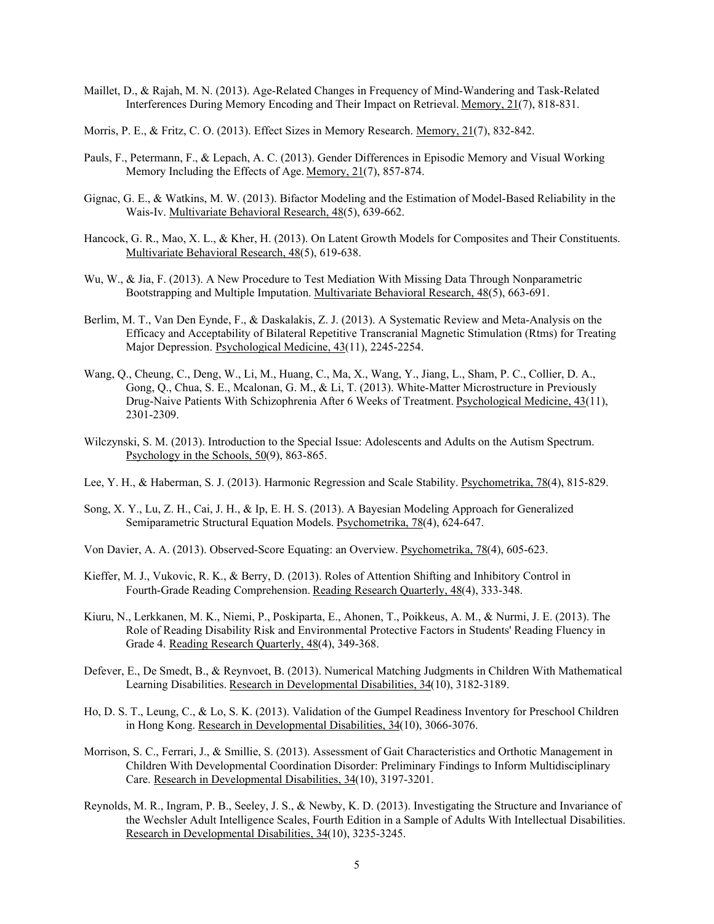- Maillet, D., & Rajah, M. N. (2013). Age-Related Changes in Frequency of Mind-Wandering and Task-Related Interferences During Memory Encoding and Their Impact on Retrieval. Memory, 21(7), 818-831.
- Morris, P. E., & Fritz, C. O. (2013). Effect Sizes in Memory Research. Memory, 21(7), 832-842.
- Pauls, F., Petermann, F., & Lepach, A. C. (2013). Gender Differences in Episodic Memory and Visual Working Memory Including the Effects of Age. Memory, 21(7), 857-874.
- Gignac, G. E., & Watkins, M. W. (2013). Bifactor Modeling and the Estimation of Model-Based Reliability in the Wais-Iv. Multivariate Behavioral Research, 48(5), 639-662.
- Hancock, G. R., Mao, X. L., & Kher, H. (2013). On Latent Growth Models for Composites and Their Constituents. Multivariate Behavioral Research, 48(5), 619-638.
- Wu, W., & Jia, F. (2013). A New Procedure to Test Mediation With Missing Data Through Nonparametric Bootstrapping and Multiple Imputation. Multivariate Behavioral Research, 48(5), 663-691.
- Berlim, M. T., Van Den Eynde, F., & Daskalakis, Z. J. (2013). A Systematic Review and Meta-Analysis on the Efficacy and Acceptability of Bilateral Repetitive Transcranial Magnetic Stimulation (Rtms) for Treating Major Depression. Psychological Medicine, 43(11), 2245-2254.
- Wang, Q., Cheung, C., Deng, W., Li, M., Huang, C., Ma, X., Wang, Y., Jiang, L., Sham, P. C., Collier, D. A., Gong, Q., Chua, S. E., Mcalonan, G. M., & Li, T. (2013). White-Matter Microstructure in Previously Drug-Naive Patients With Schizophrenia After 6 Weeks of Treatment. Psychological Medicine, 43(11), 2301-2309.
- Wilczynski, S. M. (2013). Introduction to the Special Issue: Adolescents and Adults on the Autism Spectrum. Psychology in the Schools, 50(9), 863-865.
- Lee, Y. H., & Haberman, S. J. (2013). Harmonic Regression and Scale Stability. Psychometrika, 78(4), 815-829.
- Song, X. Y., Lu, Z. H., Cai, J. H., & Ip, E. H. S. (2013). A Bayesian Modeling Approach for Generalized Semiparametric Structural Equation Models. Psychometrika, 78(4), 624-647.
- Von Davier, A. A. (2013). Observed-Score Equating: an Overview. Psychometrika, 78(4), 605-623.
- Kieffer, M. J., Vukovic, R. K., & Berry, D. (2013). Roles of Attention Shifting and Inhibitory Control in Fourth-Grade Reading Comprehension. Reading Research Quarterly, 48(4), 333-348.
- Kiuru, N., Lerkkanen, M. K., Niemi, P., Poskiparta, E., Ahonen, T., Poikkeus, A. M., & Nurmi, J. E. (2013). The Role of Reading Disability Risk and Environmental Protective Factors in Students' Reading Fluency in Grade 4. Reading Research Quarterly, 48(4), 349-368.
- Defever, E., De Smedt, B., & Reynvoet, B. (2013). Numerical Matching Judgments in Children With Mathematical Learning Disabilities. Research in Developmental Disabilities, 34(10), 3182-3189.
- Ho, D. S. T., Leung, C., & Lo, S. K. (2013). Validation of the Gumpel Readiness Inventory for Preschool Children in Hong Kong. Research in Developmental Disabilities, 34(10), 3066-3076.
- Morrison, S. C., Ferrari, J., & Smillie, S. (2013). Assessment of Gait Characteristics and Orthotic Management in Children With Developmental Coordination Disorder: Preliminary Findings to Inform Multidisciplinary Care. Research in Developmental Disabilities, 34(10), 3197-3201.
- Reynolds, M. R., Ingram, P. B., Seeley, J. S., & Newby, K. D. (2013). Investigating the Structure and Invariance of the Wechsler Adult Intelligence Scales, Fourth Edition in a Sample of Adults With Intellectual Disabilities. Research in Developmental Disabilities, 34(10), 3235-3245.